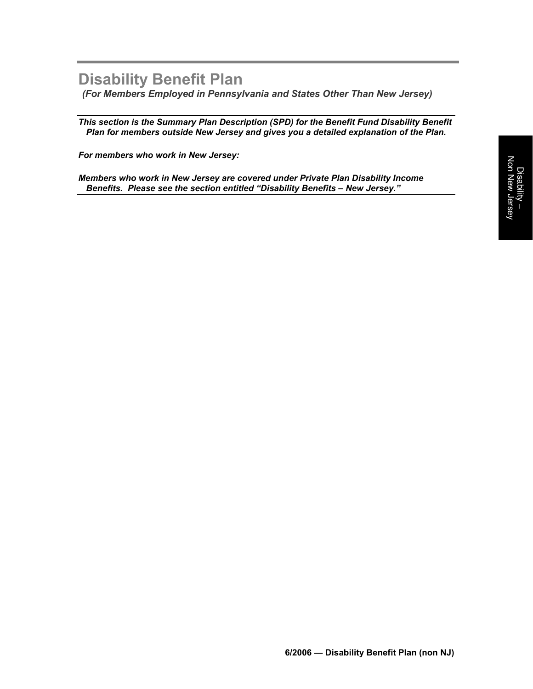# **Disability Benefit Plan**

*(For Members Employed in Pennsylvania and States Other Than New Jersey)* 

*This section is the Summary Plan Description (SPD) for the Benefit Fund Disability Benefit Plan for members outside New Jersey and gives you a detailed explanation of the Plan.* 

*For members who work in New Jersey:* 

*Members who work in New Jersey are covered under Private Plan Disability Income Benefits. Please see the section entitled "Disability Benefits – New Jersey."*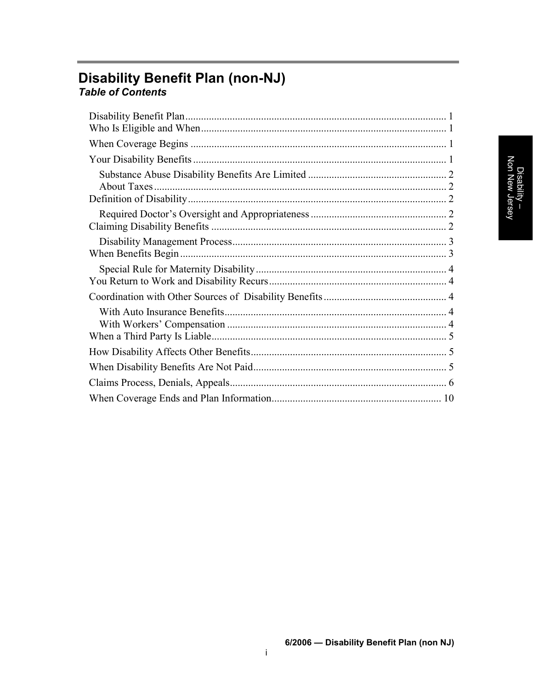# **Disability Benefit Plan (non-NJ)**<br>Table of Contents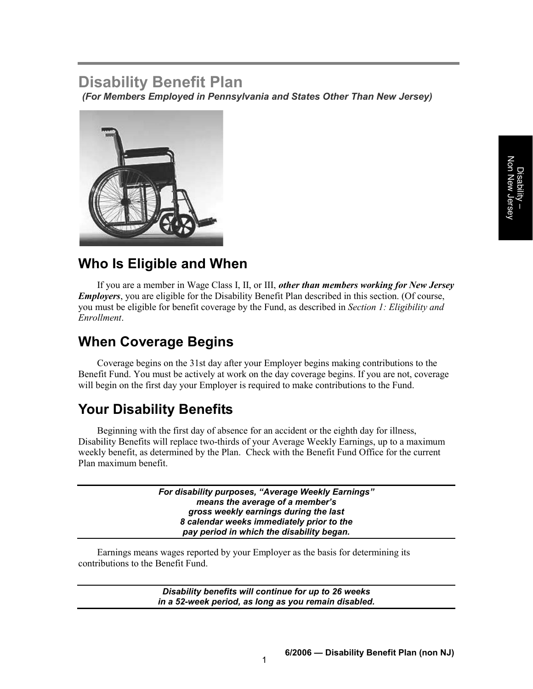# **Disability Benefit Plan**

*(For Members Employed in Pennsylvania and States Other Than New Jersey)* 



# **Who Is Eligible and When**

If you are a member in Wage Class I, II, or III, *other than members working for New Jersey Employers*, you are eligible for the Disability Benefit Plan described in this section. (Of course, you must be eligible for benefit coverage by the Fund, as described in *Section 1: Eligibility and Enrollment*.

# **When Coverage Begins**

Coverage begins on the 31st day after your Employer begins making contributions to the Benefit Fund. You must be actively at work on the day coverage begins. If you are not, coverage will begin on the first day your Employer is required to make contributions to the Fund.

# **Your Disability Benefits**

Beginning with the first day of absence for an accident or the eighth day for illness, Disability Benefits will replace two-thirds of your Average Weekly Earnings, up to a maximum weekly benefit, as determined by the Plan. Check with the Benefit Fund Office for the current Plan maximum benefit.

> *For disability purposes, "Average Weekly Earnings" means the average of a member's gross weekly earnings during the last 8 calendar weeks immediately prior to the pay period in which the disability began.*

Earnings means wages reported by your Employer as the basis for determining its contributions to the Benefit Fund.

> *Disability benefits will continue for up to 26 weeks in a 52-week period, as long as you remain disabled.*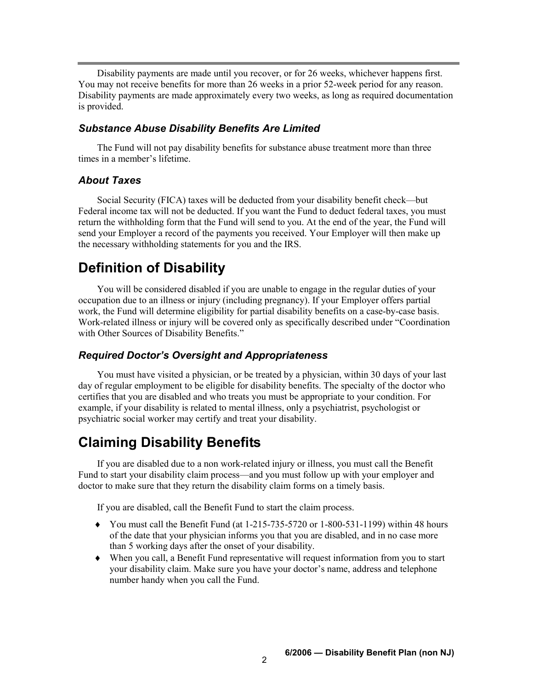Disability payments are made until you recover, or for 26 weeks, whichever happens first. You may not receive benefits for more than 26 weeks in a prior 52-week period for any reason. Disability payments are made approximately every two weeks, as long as required documentation is provided.

#### *Substance Abuse Disability Benefits Are Limited*

The Fund will not pay disability benefits for substance abuse treatment more than three times in a member's lifetime.

#### *About Taxes*

Social Security (FICA) taxes will be deducted from your disability benefit check—but Federal income tax will not be deducted. If you want the Fund to deduct federal taxes, you must return the withholding form that the Fund will send to you. At the end of the year, the Fund will send your Employer a record of the payments you received. Your Employer will then make up the necessary withholding statements for you and the IRS.

### **Definition of Disability**

You will be considered disabled if you are unable to engage in the regular duties of your occupation due to an illness or injury (including pregnancy). If your Employer offers partial work, the Fund will determine eligibility for partial disability benefits on a case-by-case basis. Work-related illness or injury will be covered only as specifically described under "Coordination with Other Sources of Disability Benefits."

#### *Required Doctor's Oversight and Appropriateness*

You must have visited a physician, or be treated by a physician, within 30 days of your last day of regular employment to be eligible for disability benefits. The specialty of the doctor who certifies that you are disabled and who treats you must be appropriate to your condition. For example, if your disability is related to mental illness, only a psychiatrist, psychologist or psychiatric social worker may certify and treat your disability.

# **Claiming Disability Benefits**

If you are disabled due to a non work-related injury or illness, you must call the Benefit Fund to start your disability claim process—and you must follow up with your employer and doctor to make sure that they return the disability claim forms on a timely basis.

If you are disabled, call the Benefit Fund to start the claim process.

- $\blacklozenge$  You must call the Benefit Fund (at 1-215-735-5720 or 1-800-531-1199) within 48 hours of the date that your physician informs you that you are disabled, and in no case more than 5 working days after the onset of your disability.
- $\bullet$  When you call, a Benefit Fund representative will request information from you to start your disability claim. Make sure you have your doctor's name, address and telephone number handy when you call the Fund.

**6/2006 — Disability Benefit Plan (non NJ)** <sup>2</sup>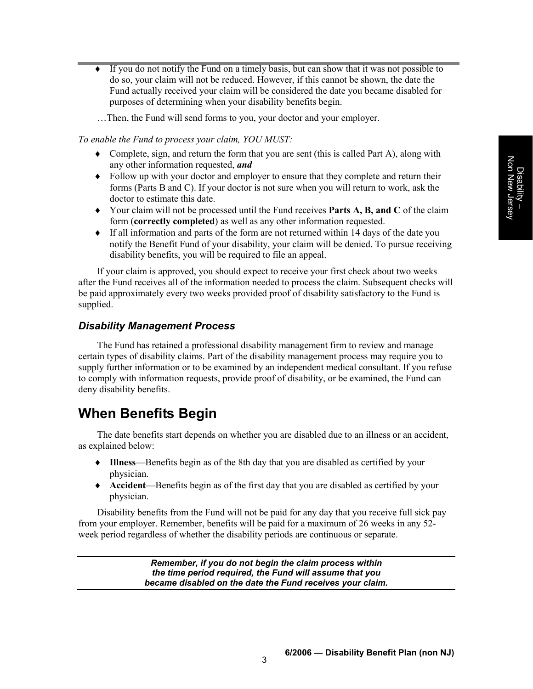- $\bullet$  If you do not notify the Fund on a timely basis, but can show that it was not possible to do so, your claim will not be reduced. However, if this cannot be shown, the date the Fund actually received your claim will be considered the date you became disabled for purposes of determining when your disability benefits begin.
- …Then, the Fund will send forms to you, your doctor and your employer.

#### *To enable the Fund to process your claim, YOU MUST:*

- Complete, sign, and return the form that you are sent (this is called Part A), along with any other information requested, *and*
- Follow up with your doctor and employer to ensure that they complete and return their forms (Parts B and C). If your doctor is not sure when you will return to work, ask the doctor to estimate this date.
- i Your claim will not be processed until the Fund receives **Parts A, B, and C** of the claim form (**correctly completed**) as well as any other information requested.
- $\bullet$  If all information and parts of the form are not returned within 14 days of the date you notify the Benefit Fund of your disability, your claim will be denied. To pursue receiving disability benefits, you will be required to file an appeal.

If your claim is approved, you should expect to receive your first check about two weeks after the Fund receives all of the information needed to process the claim. Subsequent checks will be paid approximately every two weeks provided proof of disability satisfactory to the Fund is supplied.

#### *Disability Management Process*

The Fund has retained a professional disability management firm to review and manage certain types of disability claims. Part of the disability management process may require you to supply further information or to be examined by an independent medical consultant. If you refuse to comply with information requests, provide proof of disability, or be examined, the Fund can deny disability benefits.

# **When Benefits Begin**

The date benefits start depends on whether you are disabled due to an illness or an accident, as explained below:

- i **Illness**—Benefits begin as of the 8th day that you are disabled as certified by your physician.
- ◆ **Accident**—Benefits begin as of the first day that you are disabled as certified by your physician.

Disability benefits from the Fund will not be paid for any day that you receive full sick pay from your employer. Remember, benefits will be paid for a maximum of 26 weeks in any 52 week period regardless of whether the disability periods are continuous or separate.

> *Remember, if you do not begin the claim process within the time period required, the Fund will assume that you became disabled on the date the Fund receives your claim.*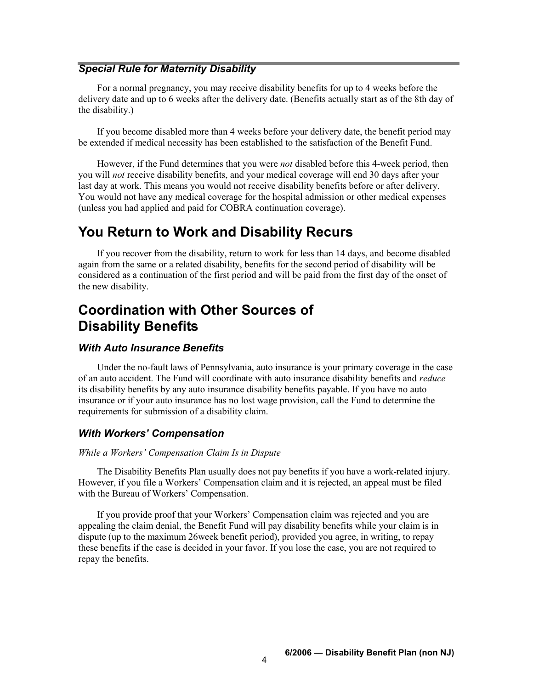#### *Special Rule for Maternity Disability*

For a normal pregnancy, you may receive disability benefits for up to 4 weeks before the delivery date and up to 6 weeks after the delivery date. (Benefits actually start as of the 8th day of the disability.)

If you become disabled more than 4 weeks before your delivery date, the benefit period may be extended if medical necessity has been established to the satisfaction of the Benefit Fund.

However, if the Fund determines that you were *not* disabled before this 4-week period, then you will *not* receive disability benefits, and your medical coverage will end 30 days after your last day at work. This means you would not receive disability benefits before or after delivery. You would not have any medical coverage for the hospital admission or other medical expenses (unless you had applied and paid for COBRA continuation coverage).

### **You Return to Work and Disability Recurs**

If you recover from the disability, return to work for less than 14 days, and become disabled again from the same or a related disability, benefits for the second period of disability will be considered as a continuation of the first period and will be paid from the first day of the onset of the new disability.

# **Coordination with Other Sources of Disability Benefits**

#### *With Auto Insurance Benefits*

Under the no-fault laws of Pennsylvania, auto insurance is your primary coverage in the case of an auto accident. The Fund will coordinate with auto insurance disability benefits and *reduce*  its disability benefits by any auto insurance disability benefits payable. If you have no auto insurance or if your auto insurance has no lost wage provision, call the Fund to determine the requirements for submission of a disability claim.

#### *With Workers' Compensation*

#### *While a Workers' Compensation Claim Is in Dispute*

The Disability Benefits Plan usually does not pay benefits if you have a work-related injury. However, if you file a Workers' Compensation claim and it is rejected, an appeal must be filed with the Bureau of Workers' Compensation.

If you provide proof that your Workers' Compensation claim was rejected and you are appealing the claim denial, the Benefit Fund will pay disability benefits while your claim is in dispute (up to the maximum 26week benefit period), provided you agree, in writing, to repay these benefits if the case is decided in your favor. If you lose the case, you are not required to repay the benefits.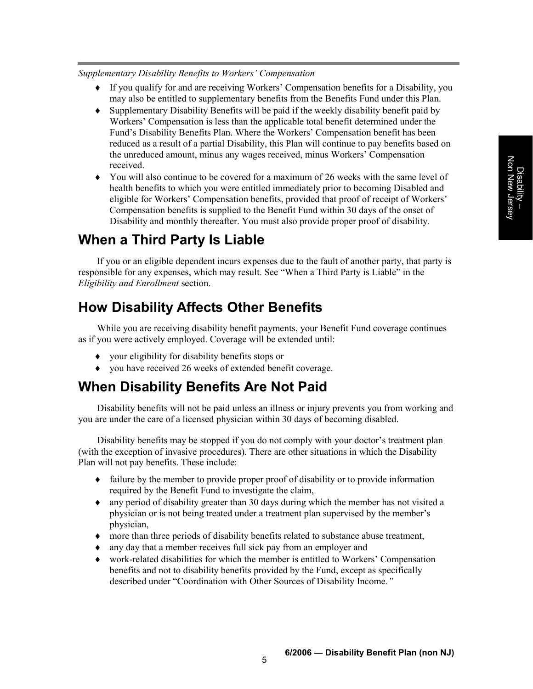#### *Supplementary Disability Benefits to Workers' Compensation*

- i If you qualify for and are receiving Workers' Compensation benefits for a Disability, you may also be entitled to supplementary benefits from the Benefits Fund under this Plan.
- $\bullet$  Supplementary Disability Benefits will be paid if the weekly disability benefit paid by Workers' Compensation is less than the applicable total benefit determined under the Fund's Disability Benefits Plan. Where the Workers' Compensation benefit has been reduced as a result of a partial Disability, this Plan will continue to pay benefits based on the unreduced amount, minus any wages received, minus Workers' Compensation received.
- $\bullet$  You will also continue to be covered for a maximum of 26 weeks with the same level of health benefits to which you were entitled immediately prior to becoming Disabled and eligible for Workers' Compensation benefits, provided that proof of receipt of Workers' Compensation benefits is supplied to the Benefit Fund within 30 days of the onset of Disability and monthly thereafter. You must also provide proper proof of disability.

# **When a Third Party Is Liable**

If you or an eligible dependent incurs expenses due to the fault of another party, that party is responsible for any expenses, which may result. See "When a Third Party is Liable" in the *Eligibility and Enrollment* section.

# **How Disability Affects Other Benefits**

While you are receiving disability benefit payments, your Benefit Fund coverage continues as if you were actively employed. Coverage will be extended until:

- $\bullet$  your eligibility for disability benefits stops or
- $\bullet$  you have received 26 weeks of extended benefit coverage.

### **When Disability Benefits Are Not Paid**

Disability benefits will not be paid unless an illness or injury prevents you from working and you are under the care of a licensed physician within 30 days of becoming disabled.

Disability benefits may be stopped if you do not comply with your doctor's treatment plan (with the exception of invasive procedures). There are other situations in which the Disability Plan will not pay benefits. These include:

- $\bullet$  failure by the member to provide proper proof of disability or to provide information required by the Benefit Fund to investigate the claim,
- $\bullet$  any period of disability greater than 30 days during which the member has not visited a physician or is not being treated under a treatment plan supervised by the member's physician,
- $\bullet$  more than three periods of disability benefits related to substance abuse treatment,
- $\bullet$  any day that a member receives full sick pay from an employer and
- $\bullet$  work-related disabilities for which the member is entitled to Workers' Compensation benefits and not to disability benefits provided by the Fund, except as specifically described under "Coordination with Other Sources of Disability Income.*"*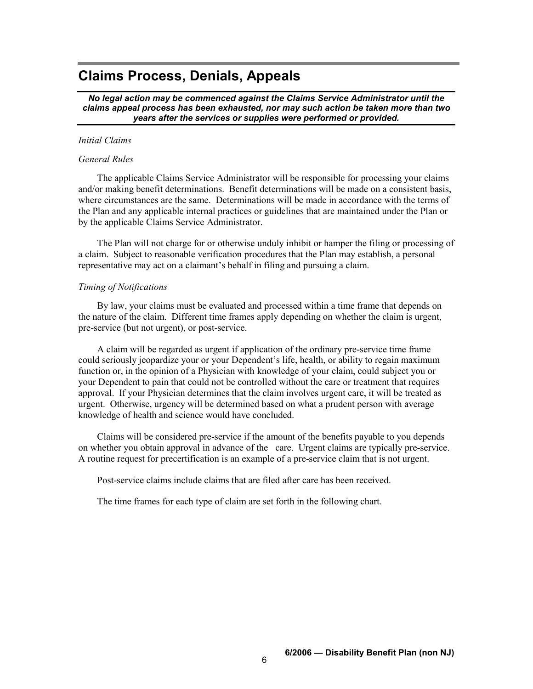### **Claims Process, Denials, Appeals**

*No legal action may be commenced against the Claims Service Administrator until the claims appeal process has been exhausted, nor may such action be taken more than two years after the services or supplies were performed or provided.* 

#### *Initial Claims*

#### *General Rules*

The applicable Claims Service Administrator will be responsible for processing your claims and/or making benefit determinations. Benefit determinations will be made on a consistent basis, where circumstances are the same. Determinations will be made in accordance with the terms of the Plan and any applicable internal practices or guidelines that are maintained under the Plan or by the applicable Claims Service Administrator.

The Plan will not charge for or otherwise unduly inhibit or hamper the filing or processing of a claim. Subject to reasonable verification procedures that the Plan may establish, a personal representative may act on a claimant's behalf in filing and pursuing a claim.

#### *Timing of Notifications*

By law, your claims must be evaluated and processed within a time frame that depends on the nature of the claim. Different time frames apply depending on whether the claim is urgent, pre-service (but not urgent), or post-service.

A claim will be regarded as urgent if application of the ordinary pre-service time frame could seriously jeopardize your or your Dependent's life, health, or ability to regain maximum function or, in the opinion of a Physician with knowledge of your claim, could subject you or your Dependent to pain that could not be controlled without the care or treatment that requires approval. If your Physician determines that the claim involves urgent care, it will be treated as urgent. Otherwise, urgency will be determined based on what a prudent person with average knowledge of health and science would have concluded.

Claims will be considered pre-service if the amount of the benefits payable to you depends on whether you obtain approval in advance of the care. Urgent claims are typically pre-service. A routine request for precertification is an example of a pre-service claim that is not urgent.

Post-service claims include claims that are filed after care has been received.

The time frames for each type of claim are set forth in the following chart.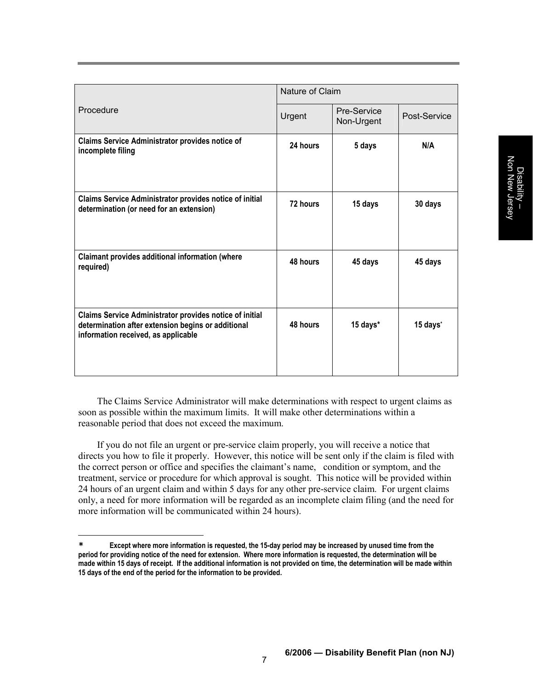| Procedure                                                                                                                                            | Nature of Claim |                           |              |
|------------------------------------------------------------------------------------------------------------------------------------------------------|-----------------|---------------------------|--------------|
|                                                                                                                                                      | Urgent          | Pre-Service<br>Non-Urgent | Post-Service |
| <b>Claims Service Administrator provides notice of</b><br>incomplete filing                                                                          | 24 hours        | 5 days                    | N/A          |
| Claims Service Administrator provides notice of initial<br>determination (or need for an extension)                                                  | 72 hours        | 15 days                   | 30 days      |
| Claimant provides additional information (where<br>required)                                                                                         | 48 hours        | 45 days                   | 45 days      |
| Claims Service Administrator provides notice of initial<br>determination after extension begins or additional<br>information received, as applicable | 48 hours        | 15 days*                  | 15 days*     |

The Claims Service Administrator will make determinations with respect to urgent claims as soon as possible within the maximum limits. It will make other determinations within a reasonable period that does not exceed the maximum.

If you do not file an urgent or pre-service claim properly, you will receive a notice that directs you how to file it properly. However, this notice will be sent only if the claim is filed with the correct person or office and specifies the claimant's name, condition or symptom, and the treatment, service or procedure for which approval is sought. This notice will be provided within 24 hours of an urgent claim and within 5 days for any other pre-service claim. For urgent claims only, a need for more information will be regarded as an incomplete claim filing (and the need for more information will be communicated within 24 hours).

**<sup>\*</sup> Except where more information is requested, the 15-day period may be increased by unused time from the period for providing notice of the need for extension. Where more information is requested, the determination will be made within 15 days of receipt. If the additional information is not provided on time, the determination will be made within 15 days of the end of the period for the information to be provided.**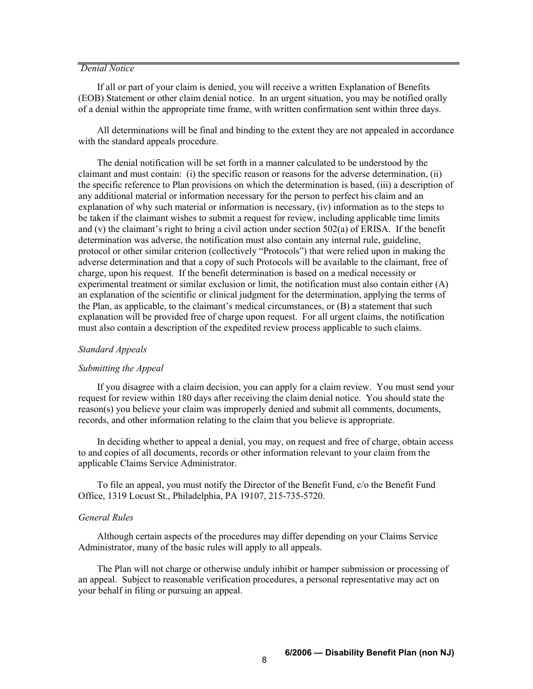#### *Denial Notice*

If all or part of your claim is denied, you will receive a written Explanation of Benefits (EOB) Statement or other claim denial notice. In an urgent situation, you may be notified orally of a denial within the appropriate time frame, with written confirmation sent within three days.

All determinations will be final and binding to the extent they are not appealed in accordance with the standard appeals procedure.

The denial notification will be set forth in a manner calculated to be understood by the claimant and must contain: (i) the specific reason or reasons for the adverse determination, (ii) the specific reference to Plan provisions on which the determination is based, (iii) a description of any additional material or information necessary for the person to perfect his claim and an explanation of why such material or information is necessary, (iv) information as to the steps to be taken if the claimant wishes to submit a request for review, including applicable time limits and (v) the claimant's right to bring a civil action under section 502(a) of ERISA. If the benefit determination was adverse, the notification must also contain any internal rule, guideline, protocol or other similar criterion (collectively "Protocols") that were relied upon in making the adverse determination and that a copy of such Protocols will be available to the claimant, free of charge, upon his request. If the benefit determination is based on a medical necessity or experimental treatment or similar exclusion or limit, the notification must also contain either  $(A)$ an explanation of the scientific or clinical judgment for the determination, applying the terms of the Plan, as applicable, to the claimant's medical circumstances, or (B) a statement that such explanation will be provided free of charge upon request. For all urgent claims, the notification must also contain a description of the expedited review process applicable to such claims.

#### *Standard Appeals*

#### *Submitting the Appeal*

If you disagree with a claim decision, you can apply for a claim review. You must send your request for review within 180 days after receiving the claim denial notice. You should state the reason(s) you believe your claim was improperly denied and submit all comments, documents, records, and other information relating to the claim that you believe is appropriate.

In deciding whether to appeal a denial, you may, on request and free of charge, obtain access to and copies of all documents, records or other information relevant to your claim from the applicable Claims Service Administrator.

To file an appeal, you must notify the Director of the Benefit Fund, c/o the Benefit Fund Office, 1319 Locust St., Philadelphia, PA 19107, 215-735-5720.

#### *General Rules*

Although certain aspects of the procedures may differ depending on your Claims Service Administrator, many of the basic rules will apply to all appeals.

The Plan will not charge or otherwise unduly inhibit or hamper submission or processing of an appeal. Subject to reasonable verification procedures, a personal representative may act on your behalf in filing or pursuing an appeal.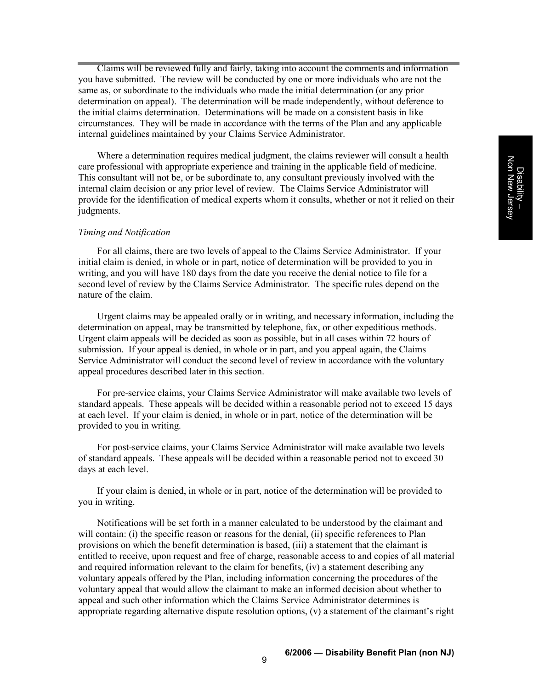Claims will be reviewed fully and fairly, taking into account the comments and information you have submitted. The review will be conducted by one or more individuals who are not the same as, or subordinate to the individuals who made the initial determination (or any prior determination on appeal). The determination will be made independently, without deference to the initial claims determination. Determinations will be made on a consistent basis in like circumstances. They will be made in accordance with the terms of the Plan and any applicable internal guidelines maintained by your Claims Service Administrator.

Where a determination requires medical judgment, the claims reviewer will consult a health care professional with appropriate experience and training in the applicable field of medicine. This consultant will not be, or be subordinate to, any consultant previously involved with the internal claim decision or any prior level of review. The Claims Service Administrator will provide for the identification of medical experts whom it consults, whether or not it relied on their judgments.

#### *Timing and Notification*

For all claims, there are two levels of appeal to the Claims Service Administrator. If your initial claim is denied, in whole or in part, notice of determination will be provided to you in writing, and you will have 180 days from the date you receive the denial notice to file for a second level of review by the Claims Service Administrator. The specific rules depend on the nature of the claim.

Urgent claims may be appealed orally or in writing, and necessary information, including the determination on appeal, may be transmitted by telephone, fax, or other expeditious methods. Urgent claim appeals will be decided as soon as possible, but in all cases within 72 hours of submission. If your appeal is denied, in whole or in part, and you appeal again, the Claims Service Administrator will conduct the second level of review in accordance with the voluntary appeal procedures described later in this section.

For pre-service claims, your Claims Service Administrator will make available two levels of standard appeals. These appeals will be decided within a reasonable period not to exceed 15 days at each level. If your claim is denied, in whole or in part, notice of the determination will be provided to you in writing.

For post-service claims, your Claims Service Administrator will make available two levels of standard appeals. These appeals will be decided within a reasonable period not to exceed 30 days at each level.

If your claim is denied, in whole or in part, notice of the determination will be provided to you in writing.

Notifications will be set forth in a manner calculated to be understood by the claimant and will contain: (i) the specific reason or reasons for the denial, (ii) specific references to Plan provisions on which the benefit determination is based, (iii) a statement that the claimant is entitled to receive, upon request and free of charge, reasonable access to and copies of all material and required information relevant to the claim for benefits, (iv) a statement describing any voluntary appeals offered by the Plan, including information concerning the procedures of the voluntary appeal that would allow the claimant to make an informed decision about whether to appeal and such other information which the Claims Service Administrator determines is appropriate regarding alternative dispute resolution options, (v) a statement of the claimant's right

**6/2006 — Disability Benefit Plan (non NJ)** <sup>9</sup>